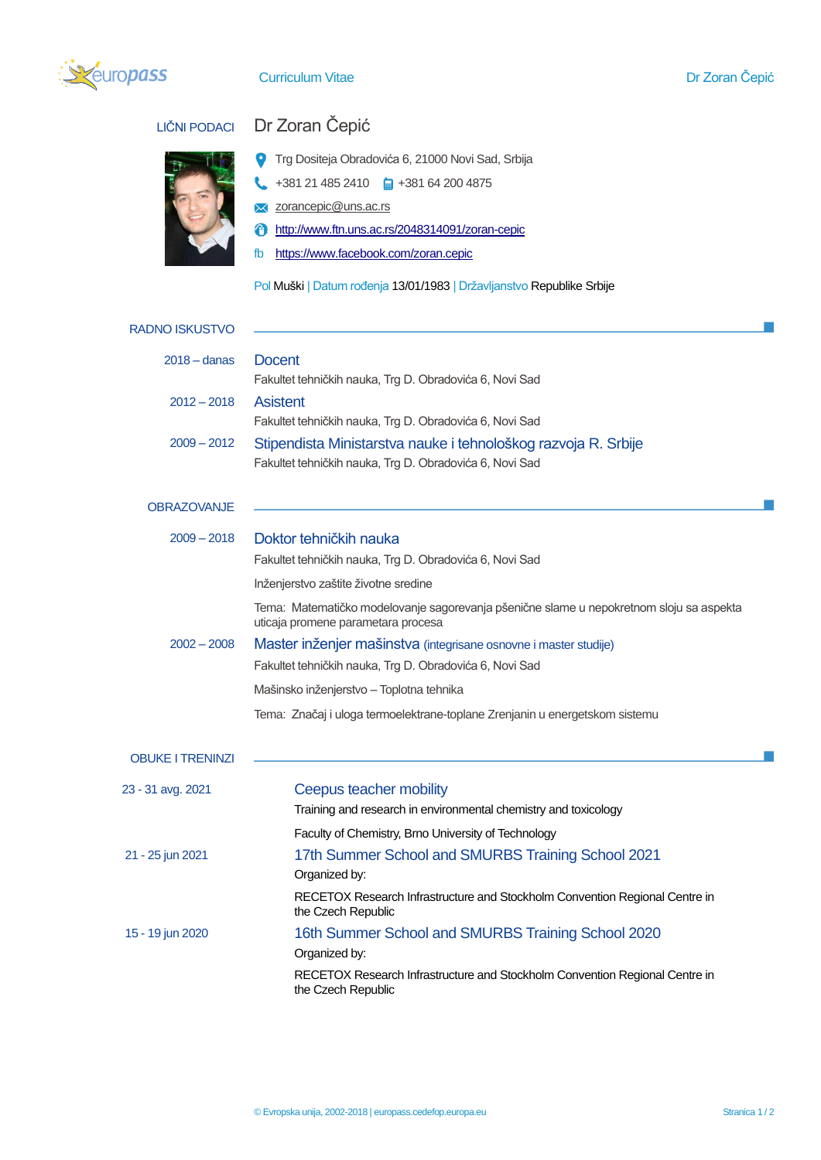

## **Curriculum Vitae Dr Zoran Čepić**



## LIČNI PODACI Dr Zoran Čepić

- **T**rg Dositeja Obradovića 6, 21000 Novi Sad, Srbija
- $\leftarrow$  +381 21 485 2410  $\leftarrow$  +381 64 200 4875
- **X** zorancepic@uns.ac.rs
- <http://www.ftn.uns.ac.rs/2048314091/zoran-cepic>
- fb <https://www.facebook.com/zoran.cepic>

Pol Muški | Datum rođenja 13/01/1983 | Državljanstvo Republike Srbije

| RADNO ISKUSTVO          |                                                                                                                               |
|-------------------------|-------------------------------------------------------------------------------------------------------------------------------|
| $2018 -$ danas          | <b>Docent</b>                                                                                                                 |
|                         | Fakultet tehničkih nauka, Trg D. Obradovića 6, Novi Sad                                                                       |
| $2012 - 2018$           | <b>Asistent</b>                                                                                                               |
|                         | Fakultet tehničkih nauka, Trg D. Obradovića 6, Novi Sad                                                                       |
| $2009 - 2012$           | Stipendista Ministarstva nauke i tehnološkog razvoja R. Srbije                                                                |
|                         | Fakultet tehničkih nauka, Trg D. Obradovića 6, Novi Sad                                                                       |
| <b>OBRAZOVANJE</b>      |                                                                                                                               |
| $2009 - 2018$           | Doktor tehničkih nauka                                                                                                        |
|                         | Fakultet tehničkih nauka, Trg D. Obradovića 6, Novi Sad                                                                       |
|                         | Inženjerstvo zaštite životne sredine                                                                                          |
|                         | Tema: Matematičko modelovanje sagorevanja pšenične slame u nepokretnom sloju sa aspekta<br>uticaja promene parametara procesa |
| $2002 - 2008$           | Master inženjer mašinstva (integrisane osnovne i master studije)                                                              |
|                         | Fakultet tehničkih nauka, Trg D. Obradovića 6, Novi Sad                                                                       |
|                         | Mašinsko inženjerstvo – Toplotna tehnika                                                                                      |
|                         | Tema: Značaj i uloga termoelektrane-toplane Zrenjanin u energetskom sistemu                                                   |
| <b>OBUKE I TRENINZI</b> |                                                                                                                               |
| 23 - 31 avg. 2021       | Ceepus teacher mobility                                                                                                       |
|                         | Training and research in environmental chemistry and toxicology                                                               |
|                         | Faculty of Chemistry, Brno University of Technology                                                                           |
| 21 - 25 jun 2021        | 17th Summer School and SMURBS Training School 2021                                                                            |
|                         | Organized by:                                                                                                                 |
|                         | RECETOX Research Infrastructure and Stockholm Convention Regional Centre in<br>the Czech Republic                             |
| 15 - 19 jun 2020        | 16th Summer School and SMURBS Training School 2020                                                                            |
|                         | Organized by:                                                                                                                 |
|                         | RECETOX Research Infrastructure and Stockholm Convention Regional Centre in<br>the Czech Republic                             |